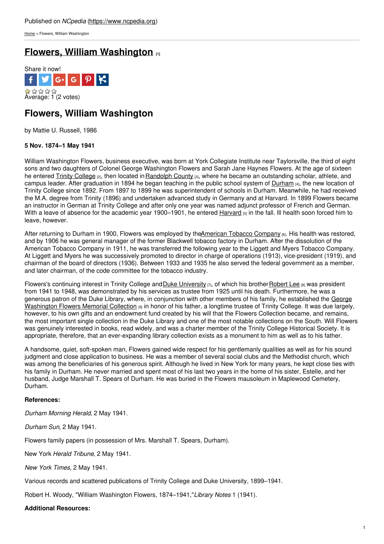[Home](https://www.ncpedia.org/) > Flowers, William Washington

# **Flowers, William [Washington](https://www.ncpedia.org/biography/flowers-william) [1]**



# **Flowers, William Washington**

by Mattie U. Russell, 1986

## **5 Nov. 1874–1 May 1941**

William Washington Flowers, business executive, was born at York Collegiate Institute near Taylorsville, the third of eight sons and two daughters of Colonel George Washington Flowers and Sarah Jane Haynes Flowers. At the age of sixteen he entered Trinity [College](https://www.ncpedia.org/trinity-college) [2], then located in Randolph County [3], where he became an outstanding scholar, athlete, and campus leader. After graduation in 1894 he began teaching in the public school system of [Durham](https://www.ncpedia.org/geography/durham-city) [4], the new location of Trinity College since 1892. From 1897 to 1899 he was superintendent of schools in Durham. Meanwhile, he had received the M.A. degree from Trinity (1896) and undertaken advanced study in Germany and at Harvard. In 1899 Flowers became an instructor in German at Trinity College and after only one year was named adjunct professor of French and German. With a leave of absence for the academic year 1900–1901, he entered  $Haryard_{[5]}$  in the fall. Ill health soon forced him to leave, however.

After returning to Durham in 1900, Flowers was employed by th[eAmerican](https://www.ncpedia.org/american-tobacco-company) Tobacco Company [6]. His health was restored, and by 1906 he was general manager of the former Blackwell tobacco factory in Durham. After the dissolution of the American Tobacco Company in 1911, he was transferred the following year to the Liggett and Myers Tobacco Company. At Liggett and Myers he was successively promoted to director in charge of operations (1913), vice-president (1919), and chairman of the board of directors (1936). Between 1933 and 1935 he also served the federal government as a member, and later chairman, of the code committee for the tobacco industry.

Flowers's continuing interest in Trinity College and Duke [University](https://www.ncpedia.org/duke-university)  $\eta$ , of which his brother [Robert](https://www.ncpedia.org/biography/flowers-robert-lee) Lee  $\theta$  was president from 1941 to 1948, was demonstrated by his services as trustee from 1925 until his death. Furthermore, he was a generous patron of the Duke Library, where, in [conjunction](http://library.duke.edu/rubenstein/findingaids/uagwfcoll/) with other members of his family, he established the George Washington Flowers Memorial Collection [9] in honor of his father, a longtime trustee of Trinity College. It was due largely, however, to his own gifts and an endowment fund created by his will that the Flowers Collection became, and remains, the most important single collection in the Duke Library and one of the most notable collections on the South. Will Flowers was genuinely interested in books, read widely, and was a charter member of the Trinity College Historical Society. It is appropriate, therefore, that an ever-expanding library collection exists as a monument to him as well as to his father.

A handsome, quiet, soft-spoken man, Flowers gained wide respect for his gentlemanly qualities as well as for his sound judgment and close application to business. He was a member of several social clubs and the Methodist church, which was among the beneficiaries of his generous spirit. Although he lived in New York for many years, he kept close ties with his family in Durham. He never married and spent most of his last two years in the home of his sister, Estelle, and her husband, Judge Marshall T. Spears of Durham. He was buried in the Flowers mausoleum in Maplewood Cemetery, Durham.

## **References:**

*Durham Morning Herald*, 2 May 1941.

*Durham Sun*, 2 May 1941.

Flowers family papers (in possession of Mrs. Marshall T. Spears, Durham).

New York *Herald Tribune*, 2 May 1941.

*New York Times*, 2 May 1941.

Various records and scattered publications of Trinity College and Duke University, 1899–1941.

Robert H. Woody, "William Washington Flowers, 1874–1941,"*Library Notes* 1 (1941).

**Additional Resources:**